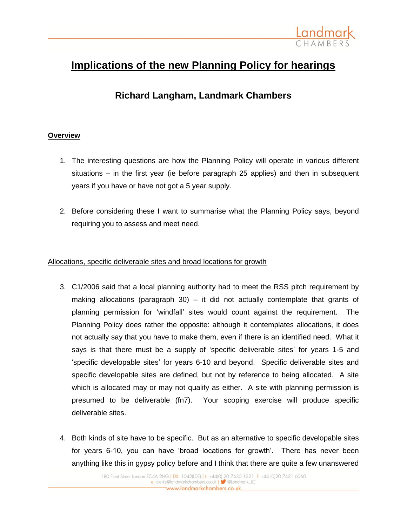

# **Implications of the new Planning Policy for hearings**

## **Richard Langham, Landmark Chambers**

#### **Overview**

- 1. The interesting questions are how the Planning Policy will operate in various different situations – in the first year (ie before paragraph 25 applies) and then in subsequent years if you have or have not got a 5 year supply.
- 2. Before considering these I want to summarise what the Planning Policy says, beyond requiring you to assess and meet need.

#### Allocations, specific deliverable sites and broad locations for growth

- 3. C1/2006 said that a local planning authority had to meet the RSS pitch requirement by making allocations (paragraph 30) – it did not actually contemplate that grants of planning permission for 'windfall' sites would count against the requirement. The Planning Policy does rather the opposite: although it contemplates allocations, it does not actually say that you have to make them, even if there is an identified need. What it says is that there must be a supply of 'specific deliverable sites' for years 1-5 and 'specific developable sites' for years 6-10 and beyond. Specific deliverable sites and specific developable sites are defined, but not by reference to being allocated. A site which is allocated may or may not qualify as either. A site with planning permission is presumed to be deliverable (fn7). Your scoping exercise will produce specific deliverable sites.
- 4. Both kinds of site have to be specific. But as an alternative to specific developable sites for years 6-10, you can have 'broad locations for growth'. There has never been anything like this in gypsy policy before and I think that there are quite a few unanswered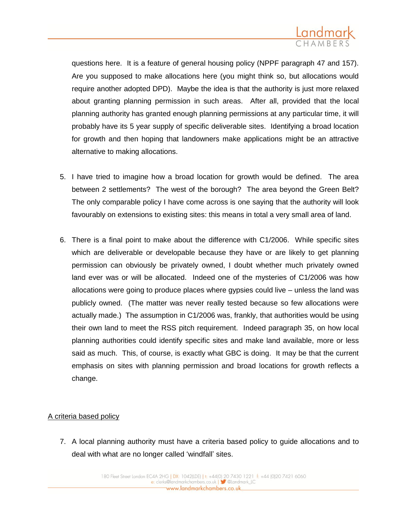

questions here. It is a feature of general housing policy (NPPF paragraph 47 and 157). Are you supposed to make allocations here (you might think so, but allocations would require another adopted DPD). Maybe the idea is that the authority is just more relaxed about granting planning permission in such areas. After all, provided that the local planning authority has granted enough planning permissions at any particular time, it will probably have its 5 year supply of specific deliverable sites. Identifying a broad location for growth and then hoping that landowners make applications might be an attractive alternative to making allocations.

- 5. I have tried to imagine how a broad location for growth would be defined. The area between 2 settlements? The west of the borough? The area beyond the Green Belt? The only comparable policy I have come across is one saying that the authority will look favourably on extensions to existing sites: this means in total a very small area of land.
- 6. There is a final point to make about the difference with C1/2006. While specific sites which are deliverable or developable because they have or are likely to get planning permission can obviously be privately owned, I doubt whether much privately owned land ever was or will be allocated. Indeed one of the mysteries of C1/2006 was how allocations were going to produce places where gypsies could live – unless the land was publicly owned. (The matter was never really tested because so few allocations were actually made.) The assumption in C1/2006 was, frankly, that authorities would be using their own land to meet the RSS pitch requirement. Indeed paragraph 35, on how local planning authorities could identify specific sites and make land available, more or less said as much. This, of course, is exactly what GBC is doing. It may be that the current emphasis on sites with planning permission and broad locations for growth reflects a change.

#### A criteria based policy

7. A local planning authority must have a criteria based policy to guide allocations and to deal with what are no longer called 'windfall' sites.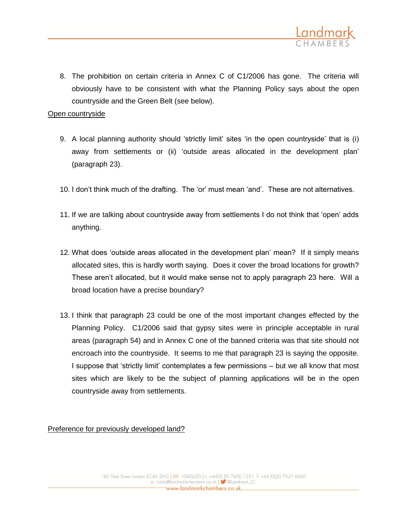

8. The prohibition on certain criteria in Annex C of C1/2006 has gone. The criteria will obviously have to be consistent with what the Planning Policy says about the open countryside and the Green Belt (see below).

Open countryside

- 9. A local planning authority should 'strictly limit' sites 'in the open countryside' that is (i) away from settlements or (ii) 'outside areas allocated in the development plan' (paragraph 23).
- 10. I don't think much of the drafting. The 'or' must mean 'and'. These are not alternatives.
- 11. If we are talking about countryside away from settlements I do not think that 'open' adds anything.
- 12. What does 'outside areas allocated in the development plan' mean? If it simply means allocated sites, this is hardly worth saying. Does it cover the broad locations for growth? These aren't allocated, but it would make sense not to apply paragraph 23 here. Will a broad location have a precise boundary?
- 13. I think that paragraph 23 could be one of the most important changes effected by the Planning Policy. C1/2006 said that gypsy sites were in principle acceptable in rural areas (paragraph 54) and in Annex C one of the banned criteria was that site should not encroach into the countryside. It seems to me that paragraph 23 is saying the opposite. I suppose that 'strictly limit' contemplates a few permissions – but we all know that most sites which are likely to be the subject of planning applications will be in the open countryside away from settlements.

Preference for previously developed land?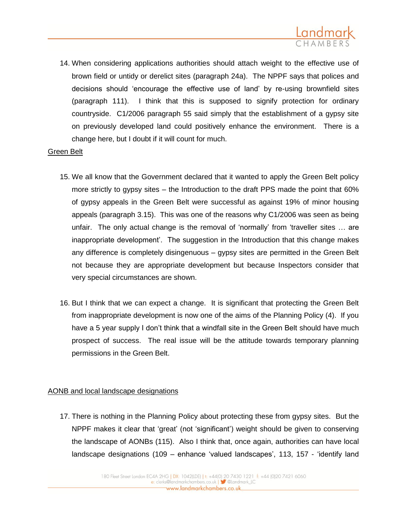

14. When considering applications authorities should attach weight to the effective use of brown field or untidy or derelict sites (paragraph 24a). The NPPF says that polices and decisions should 'encourage the effective use of land' by re-using brownfield sites (paragraph 111). I think that this is supposed to signify protection for ordinary countryside. C1/2006 paragraph 55 said simply that the establishment of a gypsy site on previously developed land could positively enhance the environment. There is a change here, but I doubt if it will count for much.

#### Green Belt

- 15. We all know that the Government declared that it wanted to apply the Green Belt policy more strictly to gypsy sites – the Introduction to the draft PPS made the point that 60% of gypsy appeals in the Green Belt were successful as against 19% of minor housing appeals (paragraph 3.15). This was one of the reasons why C1/2006 was seen as being unfair. The only actual change is the removal of 'normally' from 'traveller sites … are inappropriate development'. The suggestion in the Introduction that this change makes any difference is completely disingenuous – gypsy sites are permitted in the Green Belt not because they are appropriate development but because Inspectors consider that very special circumstances are shown.
- 16. But I think that we can expect a change. It is significant that protecting the Green Belt from inappropriate development is now one of the aims of the Planning Policy (4). If you have a 5 year supply I don't think that a windfall site in the Green Belt should have much prospect of success. The real issue will be the attitude towards temporary planning permissions in the Green Belt.

#### AONB and local landscape designations

17. There is nothing in the Planning Policy about protecting these from gypsy sites. But the NPPF makes it clear that 'great' (not 'significant') weight should be given to conserving the landscape of AONBs (115). Also I think that, once again, authorities can have local landscape designations (109 – enhance 'valued landscapes', 113, 157 - 'identify land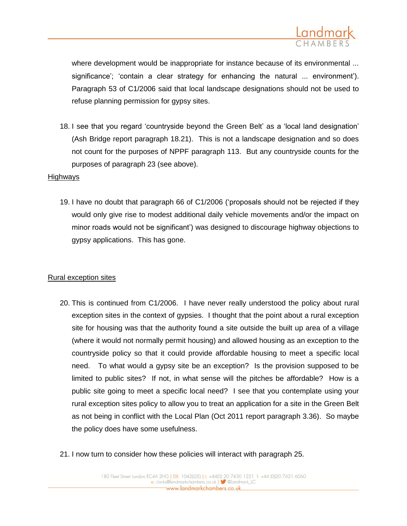

where development would be inappropriate for instance because of its environmental ... significance'; 'contain a clear strategy for enhancing the natural ... environment'). Paragraph 53 of C1/2006 said that local landscape designations should not be used to refuse planning permission for gypsy sites.

18. I see that you regard 'countryside beyond the Green Belt' as a 'local land designation' (Ash Bridge report paragraph 18.21). This is not a landscape designation and so does not count for the purposes of NPPF paragraph 113. But any countryside counts for the purposes of paragraph 23 (see above).

#### Highways

19. I have no doubt that paragraph 66 of C1/2006 ('proposals should not be rejected if they would only give rise to modest additional daily vehicle movements and/or the impact on minor roads would not be significant') was designed to discourage highway objections to gypsy applications. This has gone.

#### Rural exception sites

- 20. This is continued from C1/2006. I have never really understood the policy about rural exception sites in the context of gypsies. I thought that the point about a rural exception site for housing was that the authority found a site outside the built up area of a village (where it would not normally permit housing) and allowed housing as an exception to the countryside policy so that it could provide affordable housing to meet a specific local need. To what would a gypsy site be an exception? Is the provision supposed to be limited to public sites? If not, in what sense will the pitches be affordable? How is a public site going to meet a specific local need? I see that you contemplate using your rural exception sites policy to allow you to treat an application for a site in the Green Belt as not being in conflict with the Local Plan (Oct 2011 report paragraph 3.36). So maybe the policy does have some usefulness.
- 21. I now turn to consider how these policies will interact with paragraph 25.

180 Fleet Street London EC4A 2HG | DX: 1042(LDE) | t: +44(0) 20 7430 1221 f: +44 (0)20 7421 6060 e: clerks@landmarkchambers.co.uk | S @Landmark\_LC www.landmarkchambers.co.uk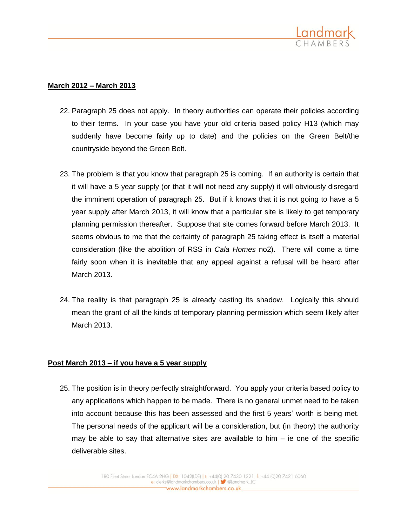

### **March 2012 – March 2013**

- 22. Paragraph 25 does not apply. In theory authorities can operate their policies according to their terms. In your case you have your old criteria based policy H13 (which may suddenly have become fairly up to date) and the policies on the Green Belt/the countryside beyond the Green Belt.
- 23. The problem is that you know that paragraph 25 is coming. If an authority is certain that it will have a 5 year supply (or that it will not need any supply) it will obviously disregard the imminent operation of paragraph 25. But if it knows that it is not going to have a 5 year supply after March 2013, it will know that a particular site is likely to get temporary planning permission thereafter. Suppose that site comes forward before March 2013. It seems obvious to me that the certainty of paragraph 25 taking effect is itself a material consideration (like the abolition of RSS in *Cala Homes* no2). There will come a time fairly soon when it is inevitable that any appeal against a refusal will be heard after March 2013.
- 24. The reality is that paragraph 25 is already casting its shadow. Logically this should mean the grant of all the kinds of temporary planning permission which seem likely after March 2013.

#### **Post March 2013 – if you have a 5 year supply**

25. The position is in theory perfectly straightforward. You apply your criteria based policy to any applications which happen to be made. There is no general unmet need to be taken into account because this has been assessed and the first 5 years' worth is being met. The personal needs of the applicant will be a consideration, but (in theory) the authority may be able to say that alternative sites are available to him  $-$  ie one of the specific deliverable sites.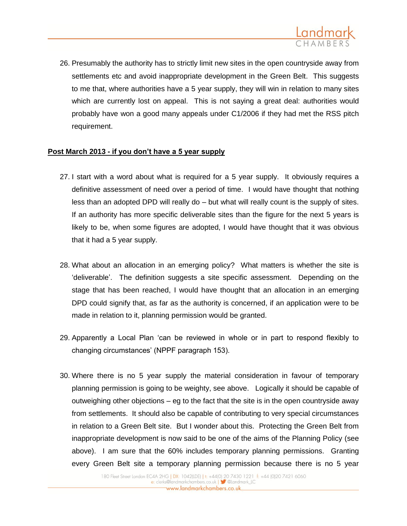

26. Presumably the authority has to strictly limit new sites in the open countryside away from settlements etc and avoid inappropriate development in the Green Belt. This suggests to me that, where authorities have a 5 year supply, they will win in relation to many sites which are currently lost on appeal. This is not saying a great deal: authorities would probably have won a good many appeals under C1/2006 if they had met the RSS pitch requirement.

#### **Post March 2013 - if you don't have a 5 year supply**

- 27. I start with a word about what is required for a 5 year supply. It obviously requires a definitive assessment of need over a period of time. I would have thought that nothing less than an adopted DPD will really do – but what will really count is the supply of sites. If an authority has more specific deliverable sites than the figure for the next 5 years is likely to be, when some figures are adopted, I would have thought that it was obvious that it had a 5 year supply.
- 28. What about an allocation in an emerging policy? What matters is whether the site is 'deliverable'. The definition suggests a site specific assessment. Depending on the stage that has been reached, I would have thought that an allocation in an emerging DPD could signify that, as far as the authority is concerned, if an application were to be made in relation to it, planning permission would be granted.
- 29. Apparently a Local Plan 'can be reviewed in whole or in part to respond flexibly to changing circumstances' (NPPF paragraph 153).
- 30. Where there is no 5 year supply the material consideration in favour of temporary planning permission is going to be weighty, see above. Logically it should be capable of outweighing other objections – eg to the fact that the site is in the open countryside away from settlements. It should also be capable of contributing to very special circumstances in relation to a Green Belt site. But I wonder about this. Protecting the Green Belt from inappropriate development is now said to be one of the aims of the Planning Policy (see above). I am sure that the 60% includes temporary planning permissions. Granting every Green Belt site a temporary planning permission because there is no 5 year